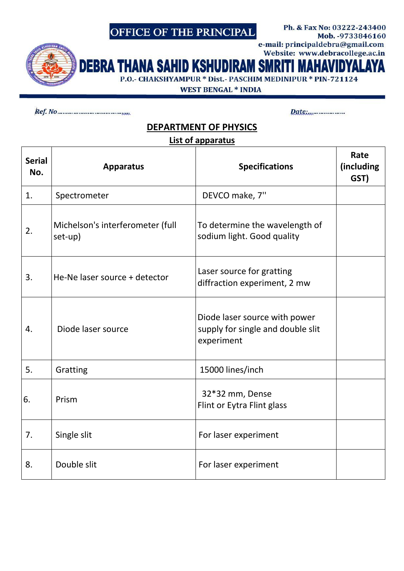# OFFICE OF THE PRINCIPAL

Mob. - 9733846160 e-mail: principaldebra@gmail.com Website: www.debracollege.ac.in

Ph. & Fax No: 03222-243400

**DEBRA THANA SAH ID KSHUDIRAM SMRI** P.O.- CHAKSHYAMPUR \* Dist.- PASCHIM MEDINIPUR \* PIN-721124

**WEST BENGAL \* INDIA** 

Date:.....................

### **DEPARTMENT OF PHYSICS**

#### List of apparatus

| <b>Serial</b><br>No. | <b>Apparatus</b>                            | <b>Specifications</b>                                                            | Rate<br>(including<br>GST) |
|----------------------|---------------------------------------------|----------------------------------------------------------------------------------|----------------------------|
| 1.                   | Spectrometer                                | DEVCO make, 7"                                                                   |                            |
| 2.                   | Michelson's interferometer (full<br>set-up) | To determine the wavelength of<br>sodium light. Good quality                     |                            |
| 3.                   | He-Ne laser source + detector               | Laser source for gratting<br>diffraction experiment, 2 mw                        |                            |
| 4.                   | Diode laser source                          | Diode laser source with power<br>supply for single and double slit<br>experiment |                            |
| 5.                   | Gratting                                    | 15000 lines/inch                                                                 |                            |
| 6.                   | Prism                                       | 32*32 mm, Dense<br>Flint or Eytra Flint glass                                    |                            |
| 7.                   | Single slit                                 | For laser experiment                                                             |                            |
| 8.                   | Double slit                                 | For laser experiment                                                             |                            |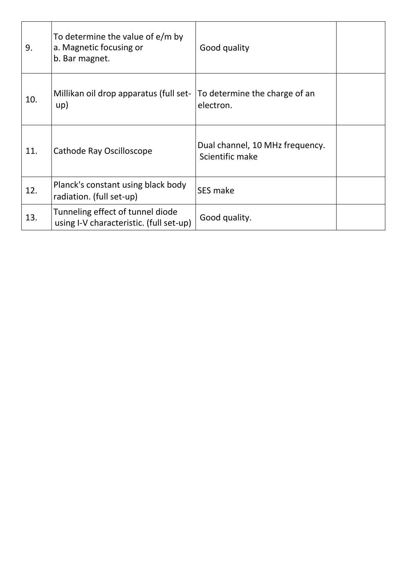| 9.  | To determine the value of $e/m$ by<br>a. Magnetic focusing or<br>b. Bar magnet. | Good quality                                       |  |
|-----|---------------------------------------------------------------------------------|----------------------------------------------------|--|
| 10. | Millikan oil drop apparatus (full set-<br>up)                                   | To determine the charge of an<br>electron.         |  |
| 11. | Cathode Ray Oscilloscope                                                        | Dual channel, 10 MHz frequency.<br>Scientific make |  |
| 12. | Planck's constant using black body<br>radiation. (full set-up)                  | SES make                                           |  |
| 13. | Tunneling effect of tunnel diode<br>using I-V characteristic. (full set-up)     | Good quality.                                      |  |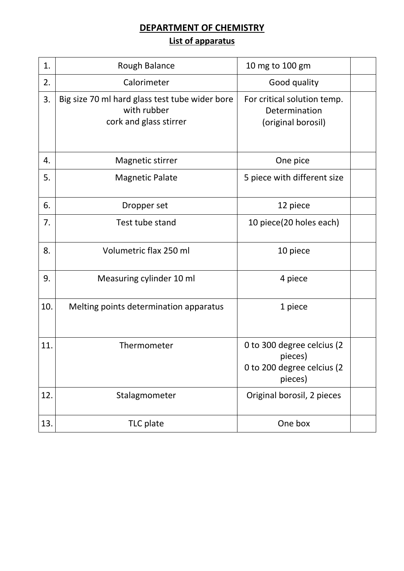### **DEPARTMENT OF CHEMISTRY List of apparatus**

| 1.  | Rough Balance                                                                           | 10 mg to 100 gm                                                                |
|-----|-----------------------------------------------------------------------------------------|--------------------------------------------------------------------------------|
| 2.  | Calorimeter                                                                             | Good quality                                                                   |
| 3.  | Big size 70 ml hard glass test tube wider bore<br>with rubber<br>cork and glass stirrer | For critical solution temp.<br>Determination<br>(original borosil)             |
| 4.  | Magnetic stirrer                                                                        | One pice                                                                       |
| 5.  | <b>Magnetic Palate</b>                                                                  | 5 piece with different size                                                    |
| 6.  | Dropper set                                                                             | 12 piece                                                                       |
| 7.  | Test tube stand                                                                         | 10 piece(20 holes each)                                                        |
| 8.  | Volumetric flax 250 ml                                                                  | 10 piece                                                                       |
| 9.  | Measuring cylinder 10 ml                                                                | 4 piece                                                                        |
| 10. | Melting points determination apparatus                                                  | 1 piece                                                                        |
| 11. | Thermometer                                                                             | 0 to 300 degree celcius (2<br>pieces)<br>0 to 200 degree celcius (2<br>pieces) |
| 12. | Stalagmometer                                                                           | Original borosil, 2 pieces                                                     |
| 13. | TLC plate                                                                               | One box                                                                        |